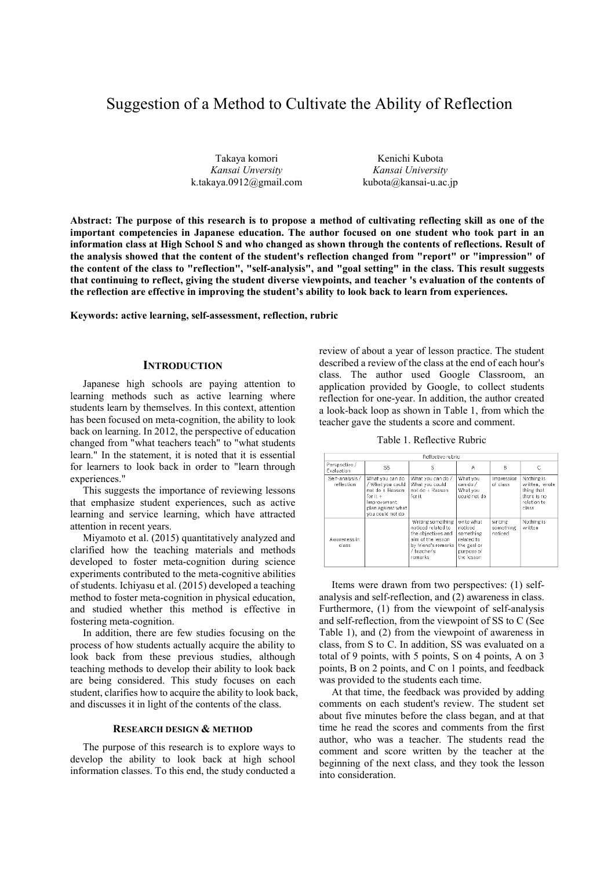# Suggestion of a Method to Cultivate the Ability of Reflection

Takaya komori *Kansai Unversity* k.takaya.0912@gmail.com

Kenichi Kubota *Kansai University* kubota@kansai-u.ac.jp

**Abstract: The purpose of this research is to propose a method of cultivating reflecting skill as one of the important competencies in Japanese education. The author focused on one student who took part in an information class at High School S and who changed as shown through the contents of reflections. Result of the analysis showed that the content of the student's reflection changed from "report" or "impression" of the content of the class to "reflection", "self-analysis", and "goal setting" in the class. This result suggests that continuing to reflect, giving the student diverse viewpoints, and teacher 's evaluation of the contents of the reflection are effective in improving the student's ability to look back to learn from experiences.** 

**Keywords: active learning, self-assessment, reflection, rubric** 

### **INTRODUCTION**

Japanese high schools are paying attention to learning methods such as active learning where students learn by themselves. In this context, attention has been focused on meta-cognition, the ability to look back on learning. In 2012, the perspective of education changed from "what teachers teach" to "what students learn." In the statement, it is noted that it is essential for learners to look back in order to "learn through experiences."

This suggests the importance of reviewing lessons that emphasize student experiences, such as active learning and service learning, which have attracted attention in recent years.

Miyamoto et al. (2015) quantitatively analyzed and clarified how the teaching materials and methods developed to foster meta-cognition during science experiments contributed to the meta-cognitive abilities of students. Ichiyasu et al. (2015) developed a teaching method to foster meta-cognition in physical education, and studied whether this method is effective in fostering meta-cognition.

In addition, there are few studies focusing on the process of how students actually acquire the ability to look back from these previous studies, although teaching methods to develop their ability to look back are being considered. This study focuses on each student, clarifies how to acquire the ability to look back, and discusses it in light of the contents of the class.

### **RESEARCH DESIGN & METHOD**

The purpose of this research is to explore ways to develop the ability to look back at high school information classes. To this end, the study conducted a review of about a year of lesson practice. The student described a review of the class at the end of each hour's class. The author used Google Classroom, an application provided by Google, to collect students reflection for one-year. In addition, the author created a look-back loop as shown in Table 1, from which the teacher gave the students a score and comment.

Table 1. Reflective Rubric

| Reflective rubric             |                                                                                                                            |                                                                                                                                      |                                                                                             |                                 |                                                                                   |
|-------------------------------|----------------------------------------------------------------------------------------------------------------------------|--------------------------------------------------------------------------------------------------------------------------------------|---------------------------------------------------------------------------------------------|---------------------------------|-----------------------------------------------------------------------------------|
| Perspective /<br>Evaluation   | SS.                                                                                                                        | s                                                                                                                                    | Α                                                                                           | B                               | C                                                                                 |
| Self-analysis /<br>reflection | What you can do<br>/ What you could<br>not do + Reason<br>for it +<br>Improvement<br>plan against what<br>vou could not do | What you can do /<br>What you could<br>not do + Reason<br>for it                                                                     | What you<br>can do /<br>What you<br>could not do                                            | Impression<br>of class          | Nothing is<br>written, wrote<br>thing that<br>there is no<br>relation to<br>class |
| Awareness in<br>class         |                                                                                                                            | Writing something<br>noticed related to<br>the objectives and<br>aim of the lesson.<br>by friend's remarks<br>/ teacher's<br>remarks | write what<br>noticed<br>something<br>related to<br>the goal or<br>purpose of<br>the lesson | writing<br>something<br>noticed | Nothing is<br>written                                                             |

Items were drawn from two perspectives: (1) selfanalysis and self-reflection, and (2) awareness in class. Furthermore, (1) from the viewpoint of self-analysis and self-reflection, from the viewpoint of SS to C (See Table 1), and (2) from the viewpoint of awareness in class, from S to C. In addition, SS was evaluated on a total of 9 points, with 5 points, S on 4 points, A on 3 points, B on 2 points, and C on 1 points, and feedback was provided to the students each time.

At that time, the feedback was provided by adding comments on each student's review. The student set about five minutes before the class began, and at that time he read the scores and comments from the first author, who was a teacher. The students read the comment and score written by the teacher at the beginning of the next class, and they took the lesson into consideration.